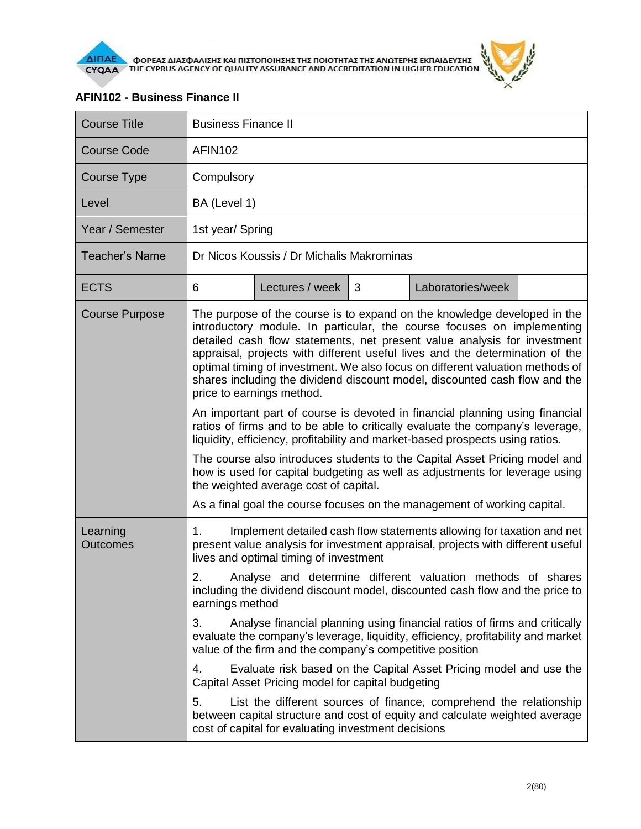



| <b>Course Title</b>         | <b>Business Finance II</b>                                                                                                                                                                                                                                                                                                                                                                                                                                                                                                                                                                                                                                                                                                                                                                                                                                                                                                                                                                                                                     |                 |   |                   |  |  |  |
|-----------------------------|------------------------------------------------------------------------------------------------------------------------------------------------------------------------------------------------------------------------------------------------------------------------------------------------------------------------------------------------------------------------------------------------------------------------------------------------------------------------------------------------------------------------------------------------------------------------------------------------------------------------------------------------------------------------------------------------------------------------------------------------------------------------------------------------------------------------------------------------------------------------------------------------------------------------------------------------------------------------------------------------------------------------------------------------|-----------------|---|-------------------|--|--|--|
| <b>Course Code</b>          | <b>AFIN102</b>                                                                                                                                                                                                                                                                                                                                                                                                                                                                                                                                                                                                                                                                                                                                                                                                                                                                                                                                                                                                                                 |                 |   |                   |  |  |  |
| Course Type                 | Compulsory                                                                                                                                                                                                                                                                                                                                                                                                                                                                                                                                                                                                                                                                                                                                                                                                                                                                                                                                                                                                                                     |                 |   |                   |  |  |  |
| Level                       | BA (Level 1)                                                                                                                                                                                                                                                                                                                                                                                                                                                                                                                                                                                                                                                                                                                                                                                                                                                                                                                                                                                                                                   |                 |   |                   |  |  |  |
| Year / Semester             | 1st year/ Spring                                                                                                                                                                                                                                                                                                                                                                                                                                                                                                                                                                                                                                                                                                                                                                                                                                                                                                                                                                                                                               |                 |   |                   |  |  |  |
| <b>Teacher's Name</b>       | Dr Nicos Koussis / Dr Michalis Makrominas                                                                                                                                                                                                                                                                                                                                                                                                                                                                                                                                                                                                                                                                                                                                                                                                                                                                                                                                                                                                      |                 |   |                   |  |  |  |
| <b>ECTS</b>                 | 6                                                                                                                                                                                                                                                                                                                                                                                                                                                                                                                                                                                                                                                                                                                                                                                                                                                                                                                                                                                                                                              | Lectures / week | 3 | Laboratories/week |  |  |  |
| <b>Course Purpose</b>       | The purpose of the course is to expand on the knowledge developed in the<br>introductory module. In particular, the course focuses on implementing<br>detailed cash flow statements, net present value analysis for investment<br>appraisal, projects with different useful lives and the determination of the<br>optimal timing of investment. We also focus on different valuation methods of<br>shares including the dividend discount model, discounted cash flow and the<br>price to earnings method.<br>An important part of course is devoted in financial planning using financial<br>ratios of firms and to be able to critically evaluate the company's leverage,<br>liquidity, efficiency, profitability and market-based prospects using ratios.<br>The course also introduces students to the Capital Asset Pricing model and<br>how is used for capital budgeting as well as adjustments for leverage using<br>the weighted average cost of capital.<br>As a final goal the course focuses on the management of working capital. |                 |   |                   |  |  |  |
| Learning<br><b>Outcomes</b> | Implement detailed cash flow statements allowing for taxation and net<br>$1_{-}$<br>present value analysis for investment appraisal, projects with different useful<br>lives and optimal timing of investment<br>2.<br>Analyse and determine different valuation methods of shares<br>including the dividend discount model, discounted cash flow and the price to<br>earnings method<br>Analyse financial planning using financial ratios of firms and critically<br>3.<br>evaluate the company's leverage, liquidity, efficiency, profitability and market<br>value of the firm and the company's competitive position                                                                                                                                                                                                                                                                                                                                                                                                                       |                 |   |                   |  |  |  |
|                             |                                                                                                                                                                                                                                                                                                                                                                                                                                                                                                                                                                                                                                                                                                                                                                                                                                                                                                                                                                                                                                                |                 |   |                   |  |  |  |
|                             | Evaluate risk based on the Capital Asset Pricing model and use the<br>4.<br>Capital Asset Pricing model for capital budgeting                                                                                                                                                                                                                                                                                                                                                                                                                                                                                                                                                                                                                                                                                                                                                                                                                                                                                                                  |                 |   |                   |  |  |  |
|                             | 5.<br>List the different sources of finance, comprehend the relationship<br>between capital structure and cost of equity and calculate weighted average<br>cost of capital for evaluating investment decisions                                                                                                                                                                                                                                                                                                                                                                                                                                                                                                                                                                                                                                                                                                                                                                                                                                 |                 |   |                   |  |  |  |

## **AFIN102 - Business Finance II**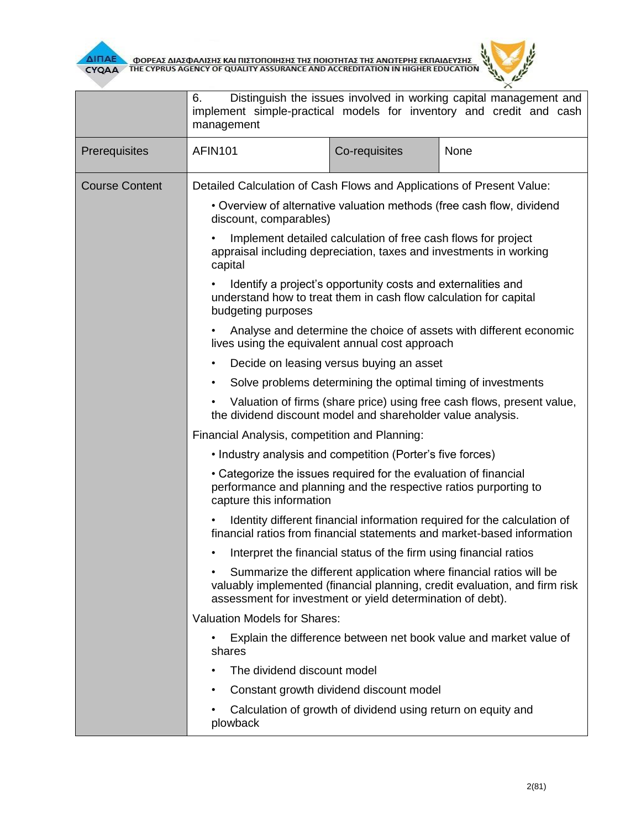



|                       | Distinguish the issues involved in working capital management and<br>6.<br>implement simple-practical models for inventory and credit and cash<br>management                                                   |               |      |  |  |  |
|-----------------------|----------------------------------------------------------------------------------------------------------------------------------------------------------------------------------------------------------------|---------------|------|--|--|--|
| Prerequisites         | <b>AFIN101</b>                                                                                                                                                                                                 | Co-requisites | None |  |  |  |
| <b>Course Content</b> | Detailed Calculation of Cash Flows and Applications of Present Value:                                                                                                                                          |               |      |  |  |  |
|                       | • Overview of alternative valuation methods (free cash flow, dividend<br>discount, comparables)                                                                                                                |               |      |  |  |  |
|                       | Implement detailed calculation of free cash flows for project<br>appraisal including depreciation, taxes and investments in working<br>capital                                                                 |               |      |  |  |  |
|                       | Identify a project's opportunity costs and externalities and<br>understand how to treat them in cash flow calculation for capital<br>budgeting purposes                                                        |               |      |  |  |  |
|                       | Analyse and determine the choice of assets with different economic<br>lives using the equivalent annual cost approach                                                                                          |               |      |  |  |  |
|                       | Decide on leasing versus buying an asset<br>$\bullet$                                                                                                                                                          |               |      |  |  |  |
|                       | Solve problems determining the optimal timing of investments<br>$\bullet$                                                                                                                                      |               |      |  |  |  |
|                       | Valuation of firms (share price) using free cash flows, present value,<br>the dividend discount model and shareholder value analysis.                                                                          |               |      |  |  |  |
|                       | Financial Analysis, competition and Planning:                                                                                                                                                                  |               |      |  |  |  |
|                       | • Industry analysis and competition (Porter's five forces)                                                                                                                                                     |               |      |  |  |  |
|                       | • Categorize the issues required for the evaluation of financial<br>performance and planning and the respective ratios purporting to<br>capture this information                                               |               |      |  |  |  |
|                       | Identity different financial information required for the calculation of<br>financial ratios from financial statements and market-based information                                                            |               |      |  |  |  |
|                       | Interpret the financial status of the firm using financial ratios<br>٠                                                                                                                                         |               |      |  |  |  |
|                       | Summarize the different application where financial ratios will be<br>valuably implemented (financial planning, credit evaluation, and firm risk<br>assessment for investment or yield determination of debt). |               |      |  |  |  |
|                       | <b>Valuation Models for Shares:</b>                                                                                                                                                                            |               |      |  |  |  |
|                       | Explain the difference between net book value and market value of<br>shares                                                                                                                                    |               |      |  |  |  |
|                       | The dividend discount model                                                                                                                                                                                    |               |      |  |  |  |
|                       | Constant growth dividend discount model<br>٠                                                                                                                                                                   |               |      |  |  |  |
|                       | Calculation of growth of dividend using return on equity and<br>plowback                                                                                                                                       |               |      |  |  |  |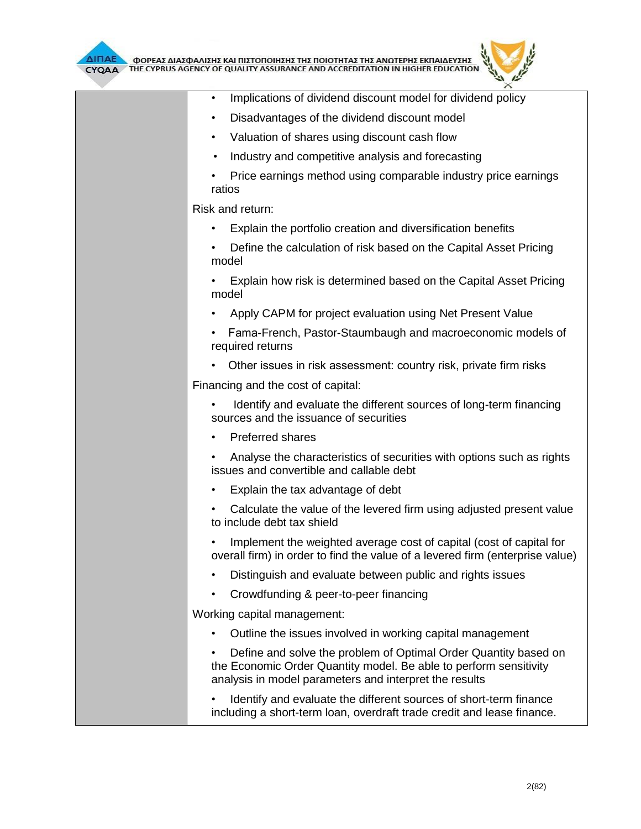